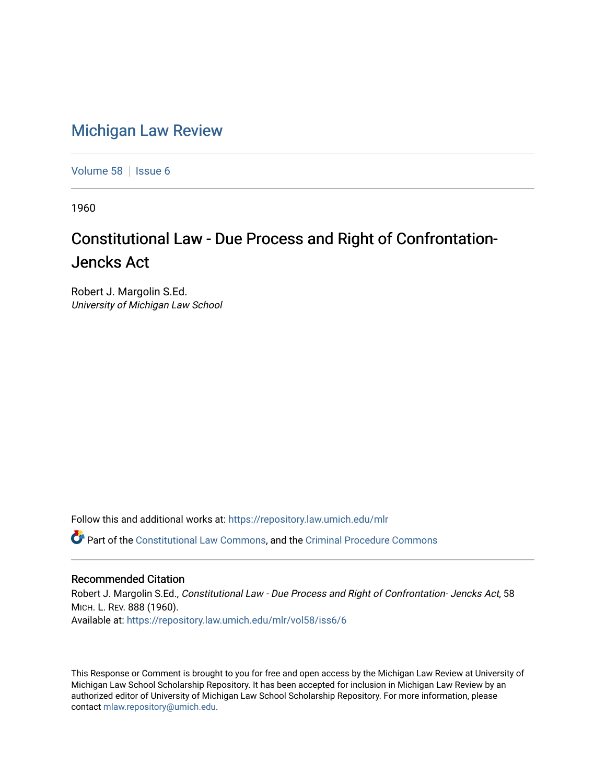## [Michigan Law Review](https://repository.law.umich.edu/mlr)

[Volume 58](https://repository.law.umich.edu/mlr/vol58) | [Issue 6](https://repository.law.umich.edu/mlr/vol58/iss6)

1960

# Constitutional Law - Due Process and Right of Confrontation-Jencks Act

Robert J. Margolin S.Ed. University of Michigan Law School

Follow this and additional works at: [https://repository.law.umich.edu/mlr](https://repository.law.umich.edu/mlr?utm_source=repository.law.umich.edu%2Fmlr%2Fvol58%2Fiss6%2F6&utm_medium=PDF&utm_campaign=PDFCoverPages) 

Part of the [Constitutional Law Commons,](http://network.bepress.com/hgg/discipline/589?utm_source=repository.law.umich.edu%2Fmlr%2Fvol58%2Fiss6%2F6&utm_medium=PDF&utm_campaign=PDFCoverPages) and the [Criminal Procedure Commons](http://network.bepress.com/hgg/discipline/1073?utm_source=repository.law.umich.edu%2Fmlr%2Fvol58%2Fiss6%2F6&utm_medium=PDF&utm_campaign=PDFCoverPages)

## Recommended Citation

Robert J. Margolin S.Ed., Constitutional Law - Due Process and Right of Confrontation- Jencks Act, 58 MICH. L. REV. 888 (1960). Available at: [https://repository.law.umich.edu/mlr/vol58/iss6/6](https://repository.law.umich.edu/mlr/vol58/iss6/6?utm_source=repository.law.umich.edu%2Fmlr%2Fvol58%2Fiss6%2F6&utm_medium=PDF&utm_campaign=PDFCoverPages)

This Response or Comment is brought to you for free and open access by the Michigan Law Review at University of Michigan Law School Scholarship Repository. It has been accepted for inclusion in Michigan Law Review by an authorized editor of University of Michigan Law School Scholarship Repository. For more information, please contact [mlaw.repository@umich.edu](mailto:mlaw.repository@umich.edu).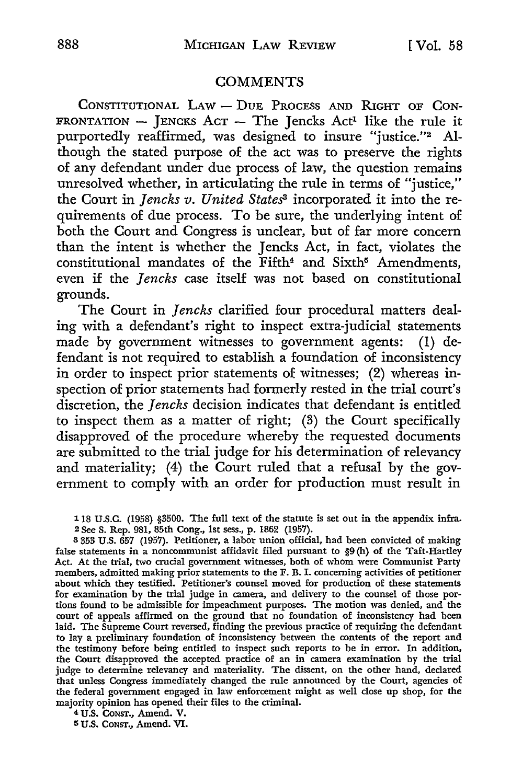### **COMMENTS**

CONSTITUTIONAL LAW - DUE PROCESS AND RIGHT OF CON- $F$ RONTATION - JENCKS ACT - The Jencks Act<sup>1</sup> like the rule it purportedly reaffirmed, was designed to insure "justice."2 Although the stated purpose of the act was to preserve the rights of any defendant under due process of law, the question remains unresolved whether, in articulating the rule in terms of "justice," the Court in *Jencks v. United States3* incorporated it into the requirements of due process. To be sure, the underlying intent of both the Court and Congress is unclear, but of far more concern than the intent is whether the Jencks Act, in fact, violates the constitutional mandates of the  $Fifth<sup>4</sup>$  and  $Sixth<sup>5</sup>$  Amendments, even if the *Jencks* case itself was not based on constitutional grounds.

The Court in *Jencks* clarified four procedural matters dealing with a defendant's right to inspect extra-judicial statements made by government witnesses to government agents: (1) defendant is not required to establish a foundation of inconsistency in order to inspect prior statements of witnesses; (2) whereas inspection of prior statements had formerly rested in the trial court's discretion, the *Jencks* decision indicates that defendant is entitled to inspect them as a matter of right; (3) the Court specifically disapproved of the procedure whereby the requested documents are submitted to the trial judge for his determination of relevancy and materiality; (4) the Court ruled that a refusal by the government to comply with an order for production must result in

118 U.S.C. (1958) §3500. The full text of the statute is set out in the appendix infra. 2 See S. Rep. 981, 85th Cong., 1st sess., p. 1862 (1957).

s 353 U.S. 657 (1957). Petitioner, a labor union official, had been convicted of making false statements in a noncommunist affidavit filed pursuant to §9 (h} of the Taft-Hartley Act. At the trial, two crucial government witnesses, both of whom were Communist Party members, admitted making prior statements to the F. B. I. concerning activities of petitioner about which they testified. Petitioner's counsel moved for production of these statements for examination by the trial judge in camera, and delivery to the counsel of those portions found to be admissible for impeachment purposes. The motion was denied, and the court of appeals affirmed on the ground that no foundation of inconsistency had been laid. The Supreme Court reversed, finding the previous practice of requiring the defendant to lay a preliminary foundation of inconsistency between the contents of the report and the testimony before being entitled to inspect such reports to be in error. In addition, the Court disapproved the accepted practice of an in camera examination by the trial judge to determine relevancy and materiality. The dissent, on the other hand, declared that unless Congress immediately changed the rule announced by the Court, agencies of the federal government engaged in law enforcement might as well close up shop, for the majority opinion has opened their files to the criminal.

4 U.S. CoNST., Amend. V.

5 U.S. CoNST., Amend. VI.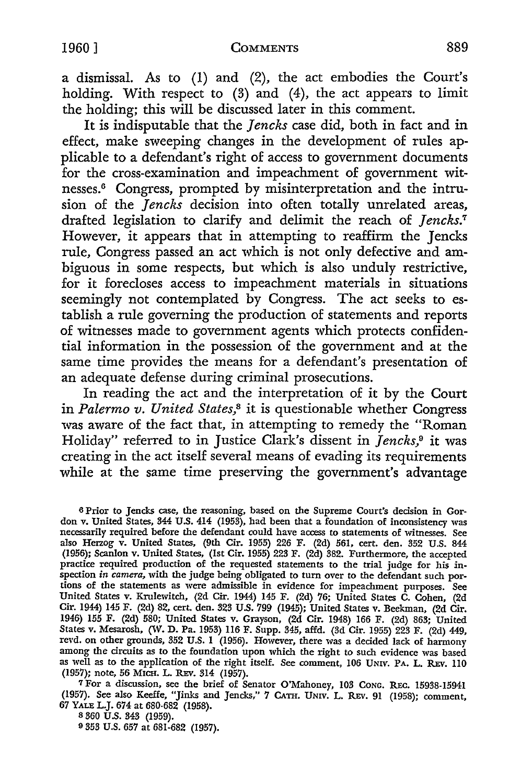a dismissal. As to (I) and (2), the act embodies the Court's holding. With respect to (3) and (4), the act appears to limit the holding; this will be discussed later in this comment.

It is indisputable that the *Jencks* case did, both in fact and in effect, make sweeping changes in the development of rules applicable to a defendant's right of access to government documents for the cross-examination and impeachment of government witnesses. 6 Congress, prompted by misinterpretation and the intrusion of the *Jencks* decision into often totally unrelated areas, drafted legislation to clarify and delimit the reach of *]encks.1*  However, it appears that in attempting to reaffirm the Jencks rule, Congress passed an act which is not only defective and ambiguous in some respects, but which is also unduly restrictive, for it forecloses access to impeachment materials in situations seemingly not contemplated by Congress. The act seeks to establish a rule governing the production of statements and reports of witnesses made to government agents which protects confidential information in the possession of the government and at the same time provides the means for a defendant's presentation of an adequate defense during criminal prosecutions.

In reading the act and the interpretation of it by the Court in *Palermo v. United States,*8 it is questionable whether Congress was aware of the fact that, in attempting to remedy the "Roman Holiday" referred to in Justice Clark's dissent in *]encks,9* it was creating in the act itself several means of evading its requirements while at the same time preserving the government's advantage

7 For a discussion, see the brief of Senator O'Mahoney, 103 CoNG. REc. 15938-15941 (1957). See also Keeffe, "Jinks and Jencks," 7 CATH. UNIV. L. REV. 91 (1958); comment, 67 YALE L.J. 674 at 680-682 (1958).

8 360 U.S. 343 (1959).

9 353 U.S. 657 at 681-682 (1957).

<sup>6</sup> Prior to Jencks case, the reasoning, based on the Supreme Court's decision in Gordon v. United States, 344 U.S. 414 (1953), had been that a foundation of inconsistency was necessarily required before the defendant could have access to statements of witnesses. See also Herzog v. United States, (9th Cir. 1955) 226 F. (2d) 561, cert. den. 352 U.S. 844 (1956); Scanlon v. United States, (1st Cir. 1955) 223 F. (2d) 382. Furthermore, the accepted practice required production of the requested statements to the trial judge for his *in*spection *in camera,* with the judge being obligated to turn over to the defendant such portions of the statements as were admissible in evidence for impeachment purposes. See United States v. Krulewitch, (2d Cir. 1944) 145 F. (2d) 76; United States C. Cohen, (2d Cir. 1944) 145 F. (2d) 82, cert. den. 323 U.S. 799 (1945); United States v. Beekman, (2d Cir. 1946) 155 F. (2d) 580; United States v. Grayson, (2d Cir. 1948) 166 F. (2d) 863; United States v. Mesarosh, (W. D. Pa. 1953) ll6 F. Supp. 345, affd. (3d Cir. 1955) 223 F. (2d) 449, revd. on other grounds, 352 U.S. 1 (1956). However, there was a decided lack of harmony among the circuits as to the foundation upon which the right to such evidence was based as well as to the application of the right itself. See comment, 106 UNIV. PA. L. REV. 110 (1957); note, 56 MICH. L. REV. 314 (1957).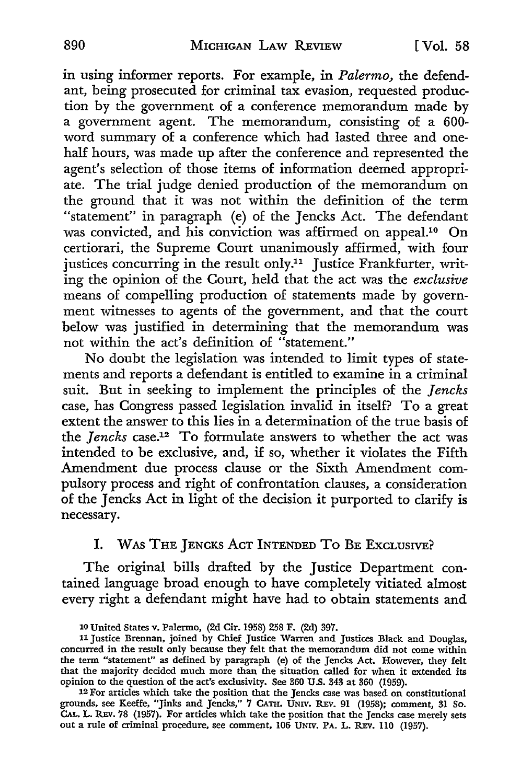in using informer reports. For example, in *Palermo,* the defendant, being prosecuted for criminal tax evasion, requested production by the government of a conference memorandum made by a government agent. The memorandum, consisting of a 600 word summary of a conference which had lasted three and onehalf hours, was made up after the conference and represented the agent's selection of those items of information deemed appropriate. The trial judge denied production of the memorandum on the ground that it was not within the definition of the term "statement" in paragraph (e) of the Jencks Act. The defendant was convicted, and his conviction was affirmed on appeal.10 **On**  certiorari, the Supreme Court unanimously affirmed, with four justices concurring in the result only.<sup>11</sup> Justice Frankfurter, writing the opinion of the Court, held that the act was the *exclusive*  means of compelling production of statements made by government witnesses to agents of the government, and that the court below was justified in determining that the memorandum was not within the act's definition of "statement."

No doubt the legislation was intended to limit types of statements and reports a defendant is entitled to examine in a criminal suit. But in seeking to implement the principles of the *Jencks*  case, has Congress passed legislation invalid in itself? To a great extent the answer to this lies in a determination of the true basis of the *Jencks* case.12 To formulate answers to whether the act was intended to be exclusive, and, if so, whether it violates the Fifth Amendment due process clause or the Sixth Amendment compulsory process and right of confrontation clauses, a consideration of the Jencks Act in light of the decision it purported to clarify is necessary.

## I. WAS THE JENCKS ACT INTENDED TO BE EXCLUSIVE?

The original bills drafted by the Justice Department contained language broad enough to have completely vitiated almost every right a defendant might have had to obtain statements and

12 For articles which take the position that the Jencks case was based on constitutional grounds, see Keeffe, "Jinks and Jencks," 7 CATII. UNIV. REv. 91 (1958); comment, 31 So. CAL. L. REv. 78 (1957). For articles which take the position that the Jencks case merely sets out a rule of criminal procedure, see comment, 106 UNIV. PA. L. REv. 110 (1957).

<sup>10</sup> United States v. Palermo, (2d Cir. 1958) 258 F. (2d) 397.

<sup>11</sup> Justice Brennan, joined by Chief Justice Warren and Justices Black and Douglas, concurred in the result only because they felt that the memorandum did not come within the term "statement" as defined by paragraph (e) of the Jencks Act. However, they felt that the majority decided much more than the situation called for when it extended its opinion to the question of the act's exclusivity. See 360 U.S. 343 at 360 (1959).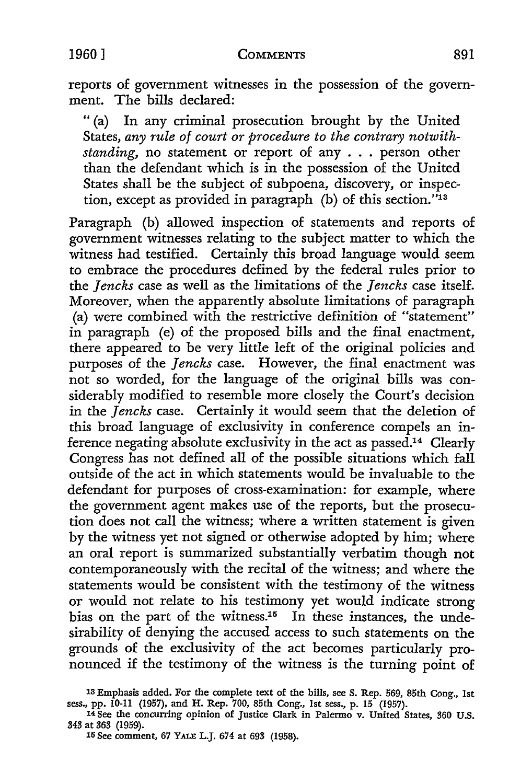#### 1960] **COMMENTS** 891

reports of government witnesses in the possession of the government. The bills declared:

"(a) In any criminal prosecution brought by the United States, *any rule of court or procedure to the contrary notwithstanding,* no statement or report of any . . . person other than the defendant which is in the possession of the United States shall be the subject of subpoena, discovery, or inspection, except as provided in paragraph (b) of this section. "13

Paragraph (b) allowed inspection of statements and reports of government witnesses relating to the subject matter to which the witness had testified. Certainly this broad language would seem to embrace the procedures defined by the federal rules prior to the *Jencks* case as well as the limitations of the *Jencks* case itself. Moreover, when the apparently absolute limitations of paragraph (a) were combined with the restrictive definition of "statement" in paragraph (e) of the proposed bills and the final enactment, there appeared to be very little left of the original policies and purposes of the *Jencks* case. However, the final enactment was not so worded, for the language of the original bills was considerably modified to resemble more closely the Court's decision in the *Jencks* case. Certainly it would seem that the deletion of this broad language of exclusivity in conference compels an inference negating absolute exclusivity in the act as passed.14 Clearly Congress has not defined all of the possible situations which fall outside of the act in which statements would be invaluable to the defendant for purposes of cross-examination: for example, where the government agent makes use of the reports, but the prosecution does not call the witness; where a written statement is given by the witness yet not signed or otherwise adopted by him; where an oral report is summarized substantially verbatim though not contemporaneously with the recital of the witness; and where the statements would be consistent with the testimony of the witness or would not relate to his testimony yet would indicate strong bias on the part of the witness.<sup>15</sup> In these instances, the undesirability of denying the accused access to such statements on the grounds of the exclusivity of the act becomes particularly pronounced if the testimony of the witness is the turning point of

<sup>13</sup> Emphasis added. For the complete text of the bills, see S. Rep. 569, 85th Cong., 1st sess., pp. 10-11 (1957), and H. Rep. 700, 85th Cong., 1st sess., p. 15 (1957).

<sup>14</sup> See the concurring opinion of Justice Clark in Palermo v. United States, 360 U.S. 343 at 363 (1959).

<sup>15</sup> See comment, 67 YALE L.J. 674 at 693 (1958).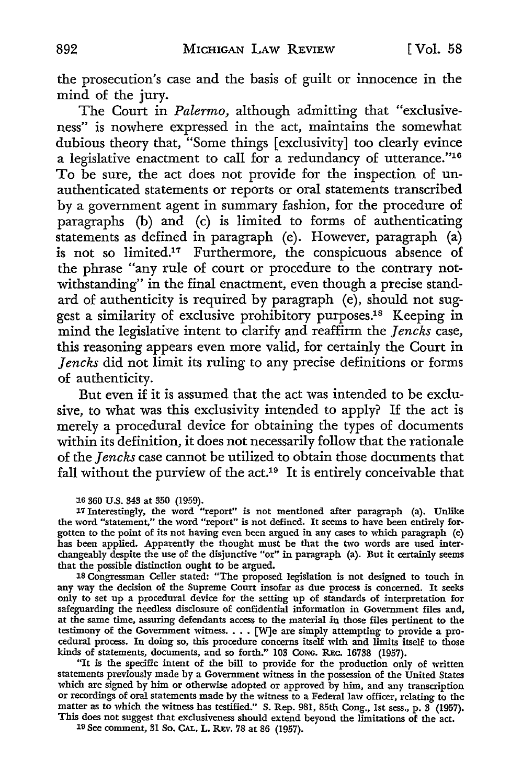the prosecution's case and the basis of guilt or innocence in the mind of the jury.

The Court in *Palermo,* although admitting that "exclusiveness" is nowhere expressed in the act, maintains the somewhat dubious theory that, "Some things [exclusivity] too clearly evince a legislative enactment to call for a redundancy of utterance."<sup>16</sup> To be sure, the act does not provide for the inspection of unauthenticated statements or reports or oral statements transcribed by a government agent in summary fashion, for the procedure of paragraphs (b) and (c) is limited to forms of authenticating statements as defined in paragraph (e). However, paragraph (a) is not so limited.<sup>17</sup> Furthermore, the conspicuous absence of the phrase "any rule of court or procedure to the contrary notwithstanding" in the final enactment, even though a precise standard of authenticity is required by paragraph (e), should not suggest a similarity of exclusive prohibitory purposes.18 Keeping in mind the legislative intent to clarify and reaffirm the *Jencks* case, this reasoning appears even more valid, for certainly the Court in *Jencks* did not limit its ruling to any precise definitions or forms of authenticity.

But even if it is assumed that the act was intended to be exclusive, to what was this exclusivity intended to apply? If the act is merely a procedural device for obtaining the types of documents within its definition, it does not necessarily follow that the rationale of the *Jencks* case cannot be utilized to obtain those documents that fall without the purview of the act.<sup>19</sup> It is entirely conceivable that

<sup>17</sup> Interestingly, the word "report" is not mentioned after paragraph (a). Unlike the word "statement," the word "report" is not defined. It seems to have been entirely forgotten to the point of its not having even been argued in any cases to which paragraph (e) has been applied. Apparently the thought must be that the two words are used interchangeably despite the use of the disjunctive "or" in paragraph (a). But it certainly seems that the possible distinction ought to be argued.

18 Congressman Celler stated: "The proposed legislation is not designed to touch in any way the decision of the Supreme Court insofar as due process is concerned. It seeks only to set up a procedural device for the setting up of standards of interpretation for safeguarding the needless disclosure of confidential information in Government files and, at the same time, assuring defendants access to the material in those files pertinent to the testimony of the Government witness.  $\ldots$  [W]e are simply attempting to provide a procedural process. In doing so, this procedure concerns itself with and limits itself to those kinds of statements, documents, and so forth." 103 CONG. R.Ec. 16738 (1957).

"It is the specific intent of the bill to provide for the production only of written statements previously made by a Government witness in the possession of the United States which are signed by him or otherwise adopted or approved by him, and any transcription or recordings of oral statements made by the witness to a Federal law officer, relating to the matter as to which the witness has testified." S. Rep. 981, 85th Cong., 1st sess., p. 3 (1957). This does not suggest that exclusiveness should extend beyond the limitations of the act.

19 See comment, 31 So. CAL. L. REv. 78 at 86 (1957).

<sup>16 360</sup> U.S. 343 at 350 (1959).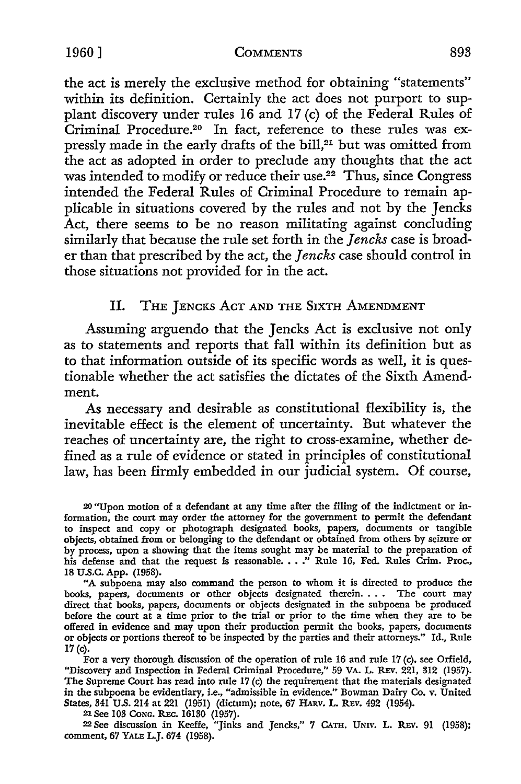## 1960 J **COMMENTS** 893

the act is merely the exclusive method for obtaining "statements" within its definition. Certainly the act does not purport to supplant discovery under rules 16 and 17 (c) of the Federal Rules of Criminal Procedure.20 In fact, reference to these rules was expressly made in the early drafts of the bill,<sup>21</sup> but was omitted from the act as adopted in order to preclude any thoughts that the act was intended to modify or reduce their use.<sup>22</sup> Thus, since Congress intended the Federal Rules of Criminal Procedure to remain applicable in situations covered by the rules and not by the Jencks Act, there seems to be no reason militating against concluding similarly that because the rule set forth in the *Jencks* case is broader than that prescribed by the act, the *Jencks* case should control in those situations not provided for in the act.

## II. THE JENCKS AcT AND THE SIXTH AMENDMENT

Assuming arguendo that the Jencks Act is exclusive not only as to statements and reports that fall within its definition but as to that information outside of its specific words as well, it is questionable whether the act satisfies the dictates of the Sixth Amendment.

As necessary and desirable as constitutional flexibility is, the inevitable effect is the element of uncertainty. But whatever the reaches of uncertainty are, the right to cross-examine, whether defined as a rule of evidence or stated in principles of constitutional law, has been firmly embedded in our judicial system. Of course,

For a very thorough discussion of the operation of rule 16 and rule 17 (c), see Orfield, "Discovery and Inspection in Federal Criminal Procedure," 59 VA. L. REv. 221, 312 (1957). The Supreme Court has read into rule 17 (c) the requirement that the materials designated in the subpoena be evidentiary, i.e., "admissible in evidence." Bowman Dairy Co. v. United States, 341 U.S. 214 at 221 (1951) (dictum); note, 67 HARV. L. REV. 492 (1954).

21 See 103 CoNG. REc. 16130 (1957).

<sup>22</sup>See discussion in Keeffe, "Jinks and Jencks," 7 CAra. UNIV. L. R.Ev. 91 (1958); comment, 67 YALE L.J. 674 (1958).

<sup>20</sup> "Upon motion of a defendant at any time after the filing of the indictment or information, the court may order the attorney for the government to permit the defendant **to** inspect and copy or photograph designated books, papers, documents or tangible objects, obtained from or belonging to the defendant or obtained from others by seizure or by process, upon a showing that the items sought may be material to the preparation of his defense and that the request is reasonable .••. " Rule 16, Fed. Rules Crim. Proc., 18 U.S.C. App. (1958).

<sup>&</sup>quot;A subpoena may also command the person to whom it is directed to produce the books, papers, documents or other objects designated therein. . • . The court may direct that books, papers, documents or objects designated in the subpoena be produced before the court at a time prior to the trial or prior to the time when they are to be offered in evidence and may upon their production permit the books, papers, documents or objects or portions thereof to be inspected by the parties and their attorneys." Id., Rule 17 (c).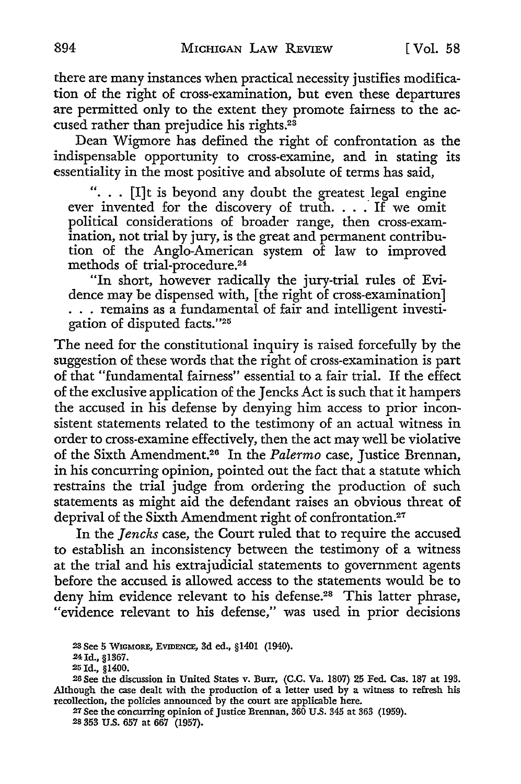there are many instances when practical necessity justifies modification of the right of cross-examination, but even these departures are permitted only to the extent they promote fairness to the accused rather than prejudice his rights.23

Dean Wigmore has defined the right of confrontation as the indispensable opportunity to cross-examine, and in stating its essentiality in the most positive and absolute of terms has said,

"... [I]t is beyond any doubt the greatest legal engine ever invented for the discovery of truth. . . . If we omit political considerations of broader range, then cross-examination, not trial by jury, is the great and permanent contribution of the Anglo-American system of law to improved methods of trial-procedure.<sup>24</sup>

"In short, however radically the jury-trial rules of Evidence may be dispensed with, [the right of cross-examination] ... remains as a fundamental of fair and intelligent investigation of disputed facts."25

The need for the constitutional inquiry is raised forcefully by the suggestion of these words that the right of cross-examination is part of that "fundamental fairness" essential to a fair trial. If the effect of the exclusive application of the Jencks Act is such that it hampers the accused in his defense by denying him access to prior inconsistent statements related to the testimony of an actual witness in order to cross-examine effectively, then the act may well be violative of the Sixth Amendment.26 In the *Palermo* case, Justice Brennan, in his concurring opinion, pointed out the fact that a statute which restrains the trial judge from ordering the production of such statements as might aid the defendant raises an obvious threat of deprival of the Sixth Amendment right of confrontation.<sup>27</sup>

In the *Jencks* case, the Court ruled that to require the accused to establish an inconsistency between the testimony of a witness at the trial and his extrajudicial statements to government agents before the accused is allowed access to the statements would be to deny him evidence relevant to his defense.<sup>28</sup> This latter phrase, "evidence relevant to his defense," was used in prior decisions

27 See the concurring opinion of Justice Brennan, 360 U.S. 345 at 363 (1959). 28 353 U.S. 657 at 667 (1957).

<sup>23</sup>See 5 W1GMORE, EVIDENCE, 3d ed., §1401 (1940) .

<sup>.24</sup> Id., § 1367.

<sup>25</sup> Id., §1400.

<sup>26</sup> See the discussion in United States v. Burr, (C.C. Va. 1807) 25 Fed. Cas. 187 at 193. Although the case dealt with the production of a letter used by a witness to refresh his recollection, the policies announced by the court are applicable here.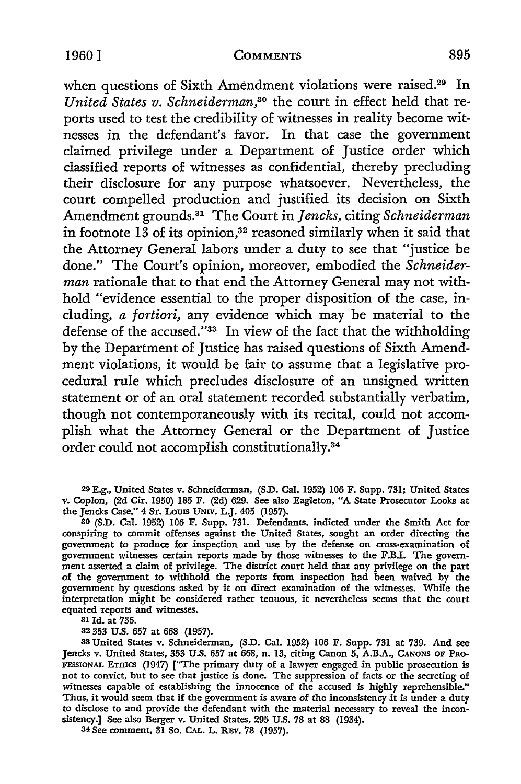### 1960] **COMMENTS** 895

when questions of Sixth Amendment violations were raised.<sup>29</sup> In *United States v. Schneiderman,30* the court in effect held that reports used to test the credibility of witnesses in reality become witnesses in the defendant's favor. In that case the government claimed privilege under a Department of Justice order which classified reports of witnesses as confidential, thereby precluding their disclosure for any purpose whatsoever. Nevertheless, the court compelled production and justified its decision on Sixth Amendment grounds.31 The Court in *Jencks,* citing *Schneiderman*  in footnote  $13$  of its opinion,<sup>32</sup> reasoned similarly when it said that the Attorney General labors under a duty to see that "justice be done." The Court's opinion, moreover, embodied the *Schneiderman* rationale that to that end the Attorney General may not withhold "evidence essential to the proper disposition of the case, including, *a fortiori,* any evidence which may be material to the defense of the accused. "33 In view of the fact that the withholding by the Department of Justice has raised questions of Sixth Amendment violations, it would be fair to assume that a legislative procedural rule which precludes disclosure of an unsigned written statement or of an oral statement recorded substantially verbatim, though not contemporaneously with its recital, could not accomplish what the Attorney General or the Department of Justice order could not accomplish constitutionally.<sup>34</sup>

29 E.g., United States v. Schneiderman, (S.D. Cal. 1952) 106 F. Supp. 731; United States v. Coplon, (2d Cir. 1950) 185 F. (2d) 629. See also Eagleton, "A State Prosecutor Looks at the Jencks Case," 4 Sr. Louis UNIV. L.J. 405 (1957).

30 (S.D. Cal. 1952) 106 F. Supp. 731. Defendants, indicted under the Smith Act for conspiring to commit offenses against the United States, sought an order directing the government to produce for inspection and use by the defense on cross-examination of government witnesses certain reports made by those witnesses to the F.B.I. The government asserted a claim of privilege. The district court held that any privilege on the part of the government to withhold the reports from inspection had been waived by the government by questions asked by it on direct examination of the witnesses. While the interpretation might be considered rather tenuous, it nevertheless seems that the court equated reports and witnesses.

31 Id. at 736.

<sup>32</sup>353 U.S. 657 at 668 (1957).

<sup>33</sup>United States v. Schneiderman, (S.D. Cal. 1952) 106 F. Supp. 731 at 739. And see Jencks v. United States, 353 U.S. 657 at 668, n. 13, citing Canon 5, A.B.A., CANONS OF PRO-FESSIONAL ETHICS (1947) ["The primary duty of a lawyer engaged in public prosecution is not to convict, but to see that justice is done. The suppression of facts or the secreting of witnesses capable of establishing the innocence of the accused is highly reprehensible." Thus, it would seem that if the government is aware of the inconsistency it is under a duty to disclose to and provide the defendant with the material necessary to reveal the inconsistency.] See also Berger v. United States, 295 U.S. 78 at 88 (1934).

34 See comment, 31 So. CAL. L. REv. 78 (1957).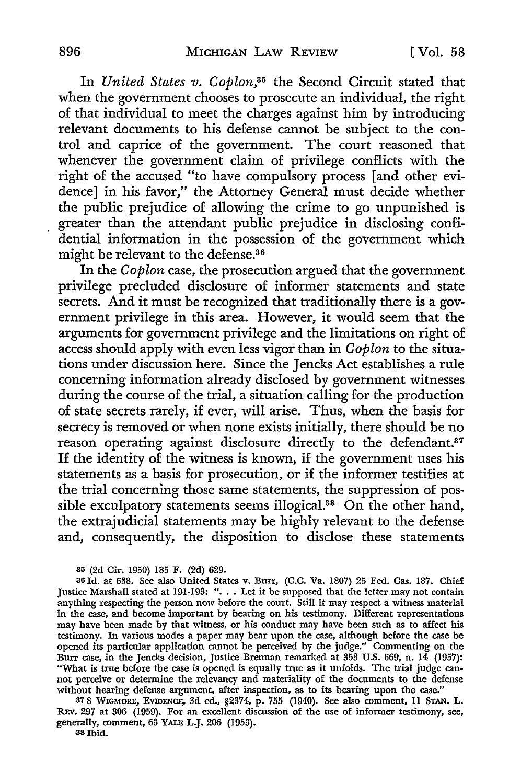In *United States v. Coplon,3*5 the Second Circuit stated that when the government chooses to prosecute an individual, the right of that individual to meet the charges against him by introducing relevant documents to his defense cannot be subject to the control and caprice of the government. The court reasoned that whenever the government claim of privilege conflicts with the right of the accused "to have compulsory process [ and other evidence] in his favor," the Attorney General must decide whether the public prejudice of allowing the crime to go unpunished is greater than the attendant public prejudice in disclosing confidential information in the possession of the government which might be relevant to the defense.36

In the *Coplon* case, the prosecution argued that the government privilege precluded disclosure of informer statements and state secrets. And it must be recognized that traditionally there is a government privilege in this area. However, it would seem that the arguments for government privilege and the limitations on right of access should apply with even less vigor than in *Coplon* to the situations under discussion here. Since the Jencks Act establishes a rule concerning information already disclosed by government witnesses during the course of the trial, a situation calling for the production of state secrets rarely, if ever, will arise. Thus, when the basis for secrecy is removed or when none exists initially, there should be no reason operating against disclosure directly to the defendant.<sup>37</sup> If the identity of the witness is known, if the government uses his statements as a basis for prosecution, or if the informer testifies at the trial concerning those same statements, the suppression of possible exculpatory statements seems illogical.<sup>38</sup> On the other hand, the extrajudicial statements may be highly relevant to the defense and, consequently, the disposition to disclose these statements

35 (2d Cir. 1950) 185 F. (2d) 629.

36 Id. at 638. See also United States v. Burr, (C.C. Va. 1807) 25 Fed. Cas. 187. Chief Justice Marshall stated at 191-193: ". . . Let it be supposed that the letter may not contain anything respecting the person now before the court. Still it may respect a witness material in the case, and become important by bearing on his testimony. Different representations may have been made by that witness, or his conduct may have been such as to affect his testimony. In various modes a paper may bear upon the case, although before the case be opened its particular application cannot be perceived by the judge." Commenting on the Burr case, in the Jencks decision, Justice Brennan remarked at 353 U.S. 669, n. 14 (1957): "What is true before the case is opened is equally true as it unfolds. The trial judge cannot perceive or determine the relevancy and materiality of the documents to the defense without hearing defense argument, after inspection, as to its bearing upon the case."

<sup>37</sup>8 WIGMORE, EVIDENCE, 3d ed., §2374, p. 755 (1940). See also comment, 11 STAN. L. REv. 297 at 306 (1959). For an excellent discussion of the use of informer testimony, see, generally, comment, 63 YALE L.J. 206 (1953). 38 Ibid.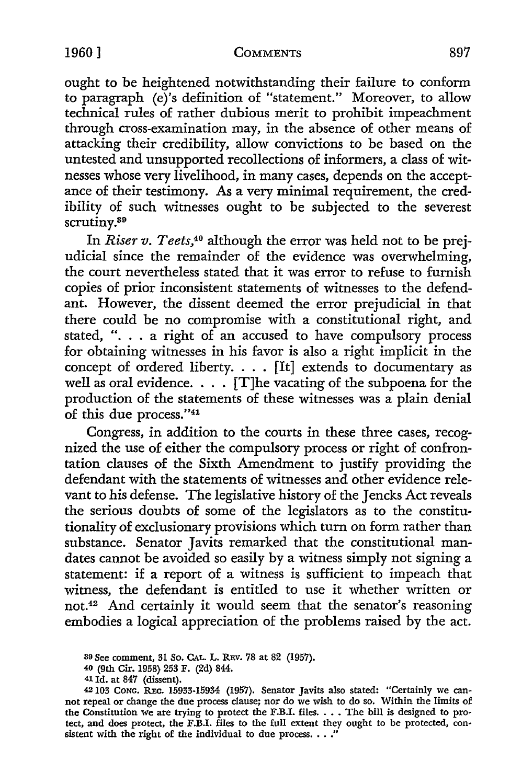ought to be heightened notwithstanding their failure to conform to paragraph (e)'s definition of "statement." Moreover, to allow technical rules of rather dubious merit to prohibit impeachment through cross-examination may, in the absence of other means of attacking their credibility, allow convictions to be based on the untested and unsupported recollections of informers, a class of witnesses whose very livelihood, in many cases, depends on the acceptance of their testimony. As a very minimal requirement, the credibility of such witnesses ought to be subjected to the severest scrutiny.<sup>89</sup>

In *Riser v. Teets,4°* although the error was held not to be prejudicial since the remainder of the evidence was overwhelming, the court nevertheless stated that it was error to refuse to furnish copies of prior inconsistent statements of witnesses to the defendant. However, the dissent deemed the error prejudicial in that there could be no compromise with a constitutional right, and stated, " $\ldots$  a right of an accused to have compulsory process for obtaining witnesses in his favor is also a right implicit in the concept of ordered liberty.  $\ldots$  [It] extends to documentary as well as oral evidence.  $\ldots$ . [T] he vacating of the subpoena for the production of the statements of these witnesses was a plain denial of this due process."41

Congress, in addition to the courts in these three cases, recognized the use of either the compulsory process or right of confrontation clauses of the Sixth Amendment to justify providing the defendant with the statements of witnesses and other evidence relevant to his defense. The legislative history of the Jencks Act reveals the serious doubts of some of the legislators as to the constitutionality of exclusionary provisions which turn on form rather than substance. Senator Javits remarked that the constitutional mandates cannot be avoided so easily by a witness simply not signing a statement: if a report of a witness is sufficient to impeach that witness, the defendant is entitled to use it whether written or not.42 And certainly it would seem that the senator's reasoning embodies a logical appreciation of the problems raised by the act.

40 (9th Cir. 1958) 253 F. (2d) 844.

<sup>89</sup> See comment, 31 So. CAL. L. R.Ev. 78 at 82 (1957).

<sup>41</sup> Id. at 847 (dissent).

<sup>42103</sup> CONG. R.Ec. 15933-15934 (1957). Senator Javits also stated: "Certainly we cannot repeal or change the due process clause; nor do we wish to do so. Within the limits of the Constitution we are trying to protect the F.B.I. files. . . . The bill is designed to protect, and does protect, the F.B.I. files to the full extent they ought to be protected, con• sistent with the right of the individual to due process.  $\ldots$ ."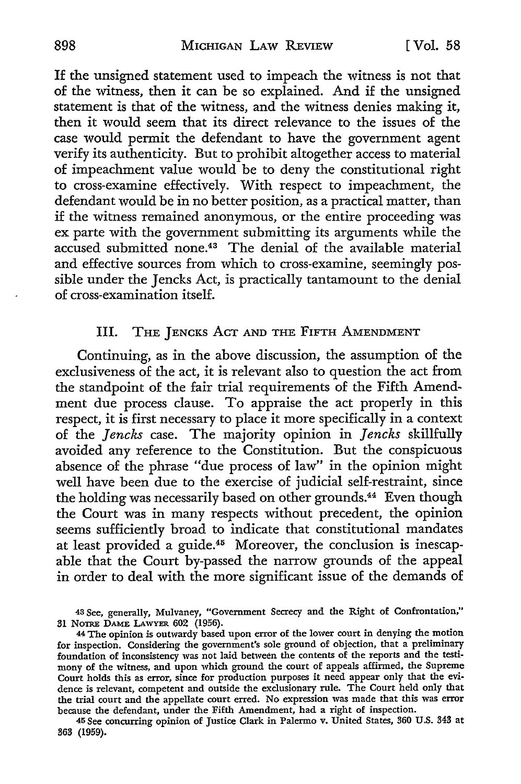If the unsigned statement used to impeach the witness is not that of the witness, then it can be so explained. And if the unsigned statement is that of the witness, and the witness denies making it, then it would seem that its direct relevance to the issues of the case would permit the defendant to have the government agent verify its authenticity. But to prohibit altogether access to material of impeachment value would be to deny the constitutional right to cross-examine effectively. With respect to impeachment, the defendant would be in no better position, as a practical matter, than if the witness remained anonymous, or the entire proceeding was ex parte with the government submitting its arguments while the accused submitted none.43 The denial of the available material and effective sources from which to cross-examine, seemingly possible under the Jencks Act, is practically tantamount to the denial of cross-examination itself.

## III. THE JENCKS AcT AND THE FIFTH AMENDMENT

Continuing, as in the above discussion, the assumption of the exclusiveness of the act, it is relevant also to question the act from the standpoint of the fair trial requirements of the Fifth Amendment due process clause. To appraise the act properly in this respect, it is first necessary to place it more specifically in a context of the *Jencks* case. The majority opinion in *Jencks* skillfully avoided any reference to the Constitution. But the conspicuous absence of the phrase "due process of law" in the opinion might well have been due to the exercise of judicial self-restraint, since the holding was necessarily based on other grounds.<sup>44</sup> Even though the Court was in many respects without precedent, the opinion seems sufficiently broad to indicate that constitutional mandates at least provided a guide.45 Moreover, the conclusion is inescapable that the Court by-passed the narrow grounds of the appeal in order to deal with the more significant issue of the demands of

43 See, generally, Mulvaney, "Government Secrecy and the Right of Confrontation," 31 NOTRE DAME LAWYER 602 (1956).

<sup>44</sup>The opinion is outwardy based upon error of the lower court in denying the motion for inspection. Considering the government's sole ground of objection, that a preliminary foundation of inconsistency was not laid between the contents of the reports and the testimony of the witness, and upon which ground the court of appeals affirmed, the Supreme Court holds this as error, since for production purposes it need appear only that the evidence is relevant, competent and outside the exclusionary rule. The Court held only that the trial court and the appellate court erred. No expression was made that this was error because the defendant, under the Fifth Amendment, had a right of inspection.

45 See concurring opinion of Justice Clark in Palermo v. United States, 360 U.S. 343 at 363 (1959).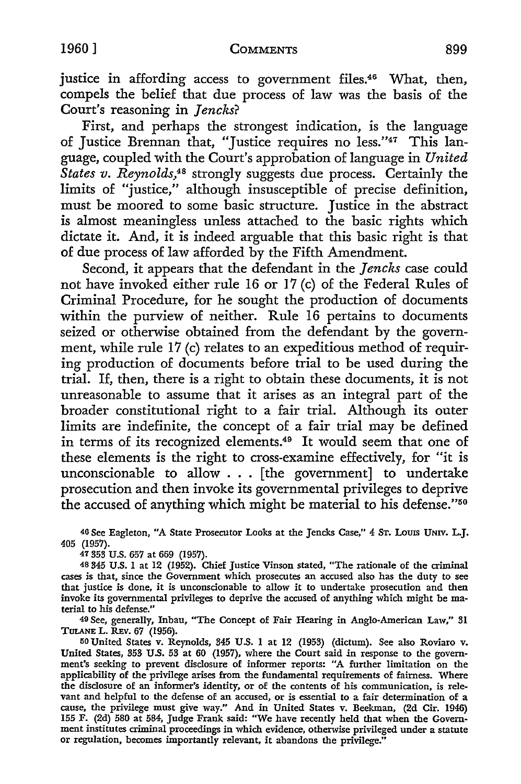justice in affording access to government files.<sup>46</sup> What, then, compels the belief that due process of law was the basis of the Court's reasoning in *Jencks?* 

First, and perhaps the strongest indication, is the language of Justice Brennan that, "Justice requires no less."47 This language, coupled with the Court's approbation of language in *United States v. Reynolds,4*8 strongly suggests due process. Certainly the limits of "justice," although insusceptible of precise definition, must be moored to some basic structure. Justice in the abstract is almost meaningless unless attached to the basic rights which dictate it. And, it is indeed arguable that this basic right is that of due process of law afforded by the Fifth Amendment.

Second, it appears that the defendant in the *Jencks* case could not have invoked either rule 16 or 17 (c) of the Federal Rules of Criminal Procedure, for he sought the production of documents within the purview of neither. Rule 16 pertains to documents seized or otherwise obtained from the defendant by the government, while rule 17 (c) relates to an expeditious method of requiring production of documents before trial to be used during the trial. If, then, there is a right to obtain these documents, it is not unreasonable to assume that it arises as an integral part of the broader constitutional right to a fair trial. Although its outer limits are indefinite, the concept of a fair trial may be defined in terms of its recognized elements.49 It would seem that one of these elements is the right to cross-examine effectively, for "it is unconscionable to allow  $\ldots$  [the government] to undertake prosecution and then invoke its governmental privileges to deprive the accused of anything which might be material to his defense."<sup>50</sup>

46 See Eagleton, "A State Prosecutor Looks at the Jencks Case," 4 ST. Louis UNIV. L.J. 405 (1957).

47 353 U.S. 657 at 669 (1957).

48 345 U.S. I at 12 (1952). Chief Justice Vinson stated, "The rationale of the criminal cases is that, since the Government which prosecutes an accused also has the duty to see that justice is done, it is unconscionable to allow it to undertake prosecution and then invoke its governmental privileges to deprive the accused of anything which might be material to his defense."

49 See, generally, Inbau, "The Concept of Fair Hearing in Anglo-American Law," 31 TULANE L. REV. 67 (1956).

50 United States v. Reynolds, 345 U.S. I at 12 (1953) (dictum). See also Roviaro v. United States, 353 U.S. 53 at 60 (1957), where the Court said *in* response to the government's seeking to prevent disclosure of informer reports: "A further limitation on the applicability of the privilege arises from the fundamental requirements of fairness. Where the disclosure of an informer's identity, or of the contents of his communication, is relevant and helpful to the defense of an accused, or is essential to a fair determination of a cause, the privilege must give way." And in United States v. Beekman, (2d Cir. 1946) 155 F. (2d) 580 at 584, Judge Frank said: "We have recently held that when the Government institutes criminal proceedings in which evidence, otherwise privileged under a statute or regulation, becomes importantly relevant, it abandons the privilege."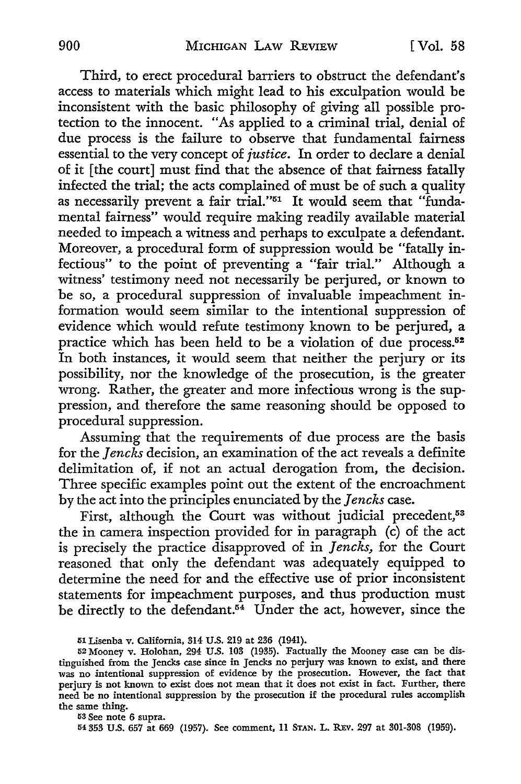Third, to erect procedural barriers to obstruct the defendant's access to materials which might lead to his exculpation would be inconsistent with the basic philosophy of giving all possible protection to the innocent. "As applied to a criminal trial, denial of due process is the failure to observe that fundamental fairness essential to the very concept of *justice.* In order to declare a denial of it [the court] must find that the absence of that fairness fatally infected the trial; the acts complained of must be of such a quality as necessarily prevent a fair trial."51 It would seem that "fundamental fairness" would require making readily available material needed to impeach a witness and perhaps to exculpate a defendant. Moreover, a procedural form of suppression would be "fatally infectious" to the point of preventing a "fair trial." Although a witness' testimony need not necessarily be perjured, or known to be so, a procedural suppression of invaluable impeachment information would seem similar to the intentional suppression of evidence which would refute testimony known to be perjured, a practice which has been held to be a violation of due process.<sup>52</sup> In both instances, it would seem that neither the perjury or its possibility, nor the knowledge of the prosecution, is the greater wrong. Rather, the greater and more infectious wrong is the suppression, and therefore the same reasoning should be opposed to procedural suppression.

Assuming that the requirements of due process are the basis for the *Jencks* decision, an examination of the act reveals a definite delimitation of, if not an actual derogation from, the decision. Three specific examples point out the extent of the encroachment by the act into the principles enunciated by the *Jencks* case.

First, although the Court was without judicial precedent,<sup>53</sup> the in camera inspection provided for in paragraph (c) of the act is precisely the practice disapproved of in *Jencks,* for the Court reasoned that only the defendant was adequately equipped to determine the need for and the effective use of prior inconsistent statements for impeachment purposes, and thus production must be directly to the defendant.<sup>54</sup> Under the act, however, since the

53 See note 6 supra.

54 353 U.S. 657 at 669 (1957). See comment, 11 STAN. L. REv. 297 at 301-308 (1959).

<sup>51</sup> Lisenba v. California, 314 U.S. 219 at 236 (1941).

<sup>52</sup> Mooney v. Holohan, 294 U.S. 103 (1935). Factually the Mooney case can be distinguished from the Jencks case since in Jencks no perjury was known to exist, and there was no intentional suppression of evidence by the prosecution. However, the fact that perjury is not known to exist does not mean that it does not exist in fact. Further, there need be no intentional suppression by the prosecution if the procedural rules accomplish the same thing.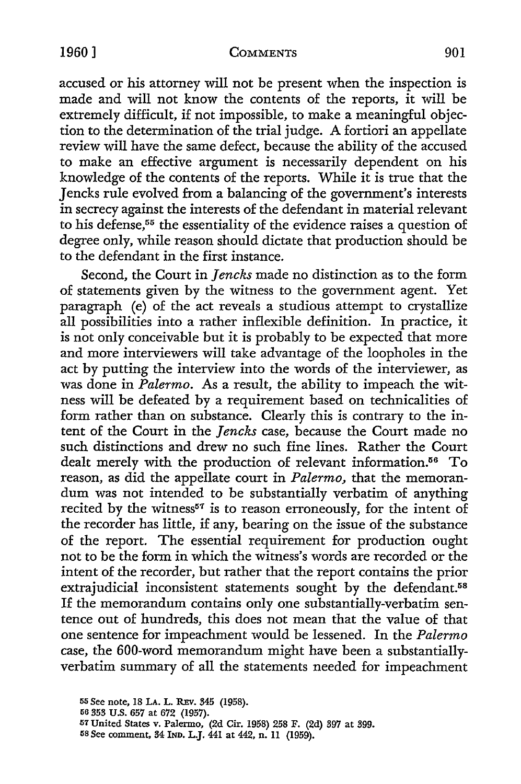accused or his attorney will not be present when the inspection is made and will not know the contents of the reports, it will be extremely difficult, if not impossible, to make a meaningful objection to the determination of the trial judge. A fortiori an appellate review will have the same defect, because the ability of the accused to make an effective argument is necessarily dependent on his knowledge of the contents of the reports. While it is true that the Jencks rule evolved from a balancing of the government's interests in secrecy against the interests of the defendant in material relevant to his defense,<sup>55</sup> the essentiality of the evidence raises a question of degree only, while reason should dictate that production should be

Second, the Court in *Jencks* made no distinction as to the form of statements given by the witness to the government agent. Yet paragraph (e) of the act reveals a studious attempt to crystallize all possibilities into a rather inflexible definition. In practice, it is not only conceivable but it is probably to be expected that more and more interviewers will take advantage of the loopholes in the act by putting the interview into the words of the interviewer, as was done in *Palermo.* As a result, the ability to impeach the witness will be defeated by a requirement based on technicalities of form rather than on substance. Clearly this is contrary to the intent of the Court in the *Jencks* case, because the Court made no such distinctions and drew no such fine lines. Rather the Court dealt merely with the production of relevant information.<sup>56</sup> To reason, as did the appellate court in *Palermo,* that the memorandum was not intended to be substantially verbatim of anything recited by the witness<sup>57</sup> is to reason erroneously, for the intent of the recorder has little, if any, bearing on the issue of the substance of the report. The essential requirement for production ought not to be the form in which the witness's words are recorded or the intent of the recorder, but rather that the report contains the prior extrajudicial inconsistent statements sought by the defendant.58 If the memorandum contains only one substantially-verbatim sentence out of hundreds, this does not mean that the value of that one sentence for impeachment would be lessened. In the *Palermo*  case, the 600-word memorandum might have been a substantiallyverbatim summary of all the statements needed for impeachment

to the defendant in the first instance.

<sup>55</sup> See note, 18 LA. L. REv. 345 (1958).

<sup>56 353</sup> U.S. 657 at 672 (1957).

<sup>57</sup> United States v. Palermo, (2d Cir. 1958) 258 F. (2d) 397 at 399.

<sup>58</sup> See comment, 34 IND. L.J. 441 at 442, n. 11 (1959).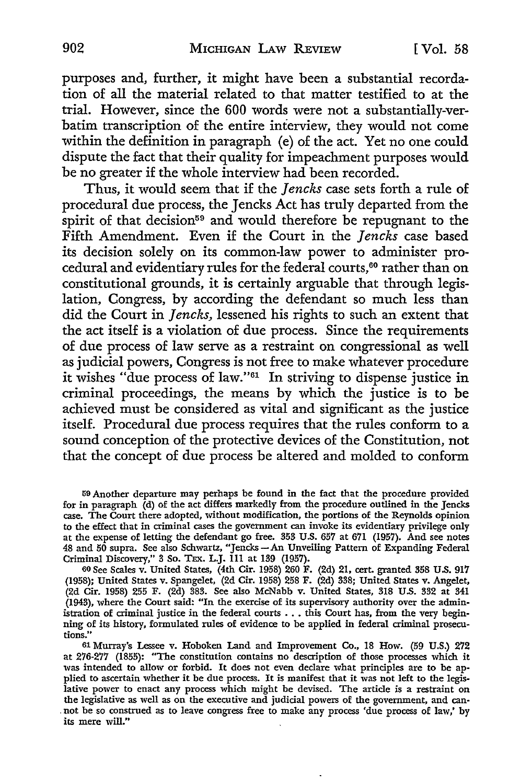purposes and, further, it might have been a substantial recordation of all the material related to that matter testified to at the trial. However, since the 600 words were not a substantially-verbatim transcription of the entire interview, they would not come within the definition in paragraph (e) of the act. Yet no one could dispute the fact that their quality for impeachment purposes would be no greater if the whole interview had been recorded.

Thus, it would seem that if the *Jencks* case sets forth a rule of procedural due process, the Jencks Act has truly departed from the spirit of that decision<sup>59</sup> and would therefore be repugnant to the Fifth Amendment. Even if the Court in the *Jencks* case based its decision solely on its common-law power to administer procedural and evidentiary rules for the federal courts, 60 rather than on constitutional grounds, it is certainly arguable that through legislation, Congress, by according the defendant so much less than did the Court in *Jencks,* lessened his rights to such an extent that the act itself is a violation of due process. Since the requirements of due process of law serve as a restraint on congressional as well as judicial powers, Congress is not free to make whatever procedure it wishes "due process of law."61 In striving to dispense justice in criminal proceedings, the means by which the justice is to be achieved must be considered as vital and significant as the justice itself. Procedural due process requires that the rules conform to a sound conception of the protective devices of the Constitution, not that the concept of due process be altered and molded to conform

60 See Scales v. United States, (4th Cir. 1958) 260 F. (2d) 21, cert. granted 358 U.S. 917 (1958); United States v. Spangelet, (2d Cir. 1958) 258 F. (2d) 338; United States v. Angelet, (2d Cir. 1958) 255 F. (2d) 383. See also McNabb v. United States, 318 U.S. 332 at 341 (1943), where the Court said: "In the exercise of its supervisory authority over the administration of criminal justice in the federal courts . . . this Court has, from the very beginning of its history, formulated rules of evidence to be applied in federal criminal prosecutions."

61 Murray's Lessee v. Hoboken Land and Improvement Co., 18 How. (59 U.S.) 272 at 276-277 (1855): "The constitution contains no description of those processes which it was intended to allow or forbid. It does not even declare what principles are to be applied to ascertain whether it be due process. It is manifest that it was not left to the legislative power to enact any process which might be devised. The article is a restraint on the legislative as well as on the executive and judicial powers of the government, and can- . not be so construed as to leave congress free to make any process 'due process of law,' by its mere will."

<sup>59</sup> Another departure may perhaps be found in the fact that the procedure provided for in paragraph (d) of the act differs markedly from the procedure outlined in the Jencks case. The Court there adopted, without modification, the portions of the Reynolds opinion to the effect that in criminal cases the government can invoke its evidentiary privilege only at the expense of letting the defendant go free. 353 U.S. 657 at 671 (1957). And see notes 48 and 50 supra. See also Schwartz, "Jencks-An Unveiling Pattern of Expanding Federal Criminal Discovery," 3 So. TEX. L.J. 111 at 139 (1957).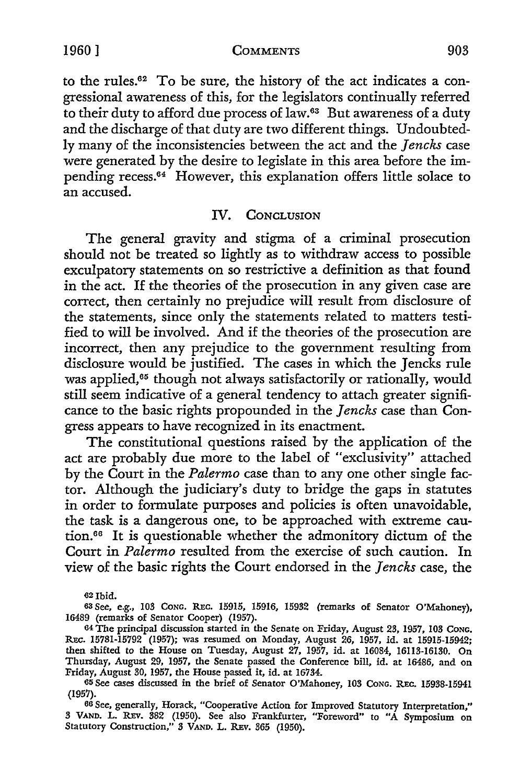to the rules.62 To be sure, the history of the act indicates a congressional awareness of this, for the legislators continually referred to their duty to afford due process of law.63 But awareness of a duty and the discharge of that duty are two different things. Undoubtedly many of the inconsistencies between the act and the *Jencks* case were generated by the desire to legislate in this area before the impending recess.64 However, this explanation offers little solace to an accused.

#### IV. CONCLUSION

The general gravity and stigma of a criminal prosecution should not be treated so lightly as to withdraw access to possible exculpatory statements on so restrictive a definition as that found in the act. If the theories of the prosecution in any given case are correct, then certainly no prejudice will result from disclosure of the statements, since only the statements related to matters testified to will be involved. And if the theories of the prosecution are incorrect, then any prejudice to the government resulting from disclosure would be justified. The cases in which the Jencks rule was applied,<sup>65</sup> though not always satisfactorily or rationally, would still seem indicative of a general tendency to attach greater significance to the basic rights propounded in the *Jencks* case than Congress appears to have recognized in its enactment.

The constitutional questions raised by the application of the act are probably due more to the label of "exclusivity" attached by the Court in the *Palermo* case than to any one other single factor. Although the judiciary's duty to bridge the gaps in statutes in order to formulate purposes and policies is often unavoidable, the task is a dangerous one, to be approached with extreme caution. 66 It is questionable whether the admonitory dictum of the Court in *Palermo* resulted from the exercise of such caution. In view of the basic rights the Court endorsed in the *Jencks* case, the

62Jbid.

63 See, e.g., 103 CONG. REc. 15915, 15916, 15932 (remarks of Senator O'Mahoney), 16489 (remarks of Senator Cooper) (1957).

64The principal discussion started in the Senate on Friday, August 23, 1957, 103 CoNG. REc. 15781-15792 (1957); was resumed on Monday, August 26, 1957, id. at 15915-15942; then shifted to the House on Tuesday, August 27, 1957, id. at 16084, 16113-16130. On Thursday, August 29, 1957, the Senate passed the Conference bill, id. at 16486, and on Friday, August 30, 1957, the House passed it, id. at 16734.

65 See cases discussed in the brief of Senator O'Mahoney, 103 CONG. REc. 15938-15941 (1957).

66 See, generally, Horack, "Cooperative Action for Improved Statutory Interpretation," 3 VAND. L. REv. 382 (1950). See also Frankfurter, "Foreword" to "A Symposium on Statutory Construction," 3 VAND. L. REv. 365 (1950).